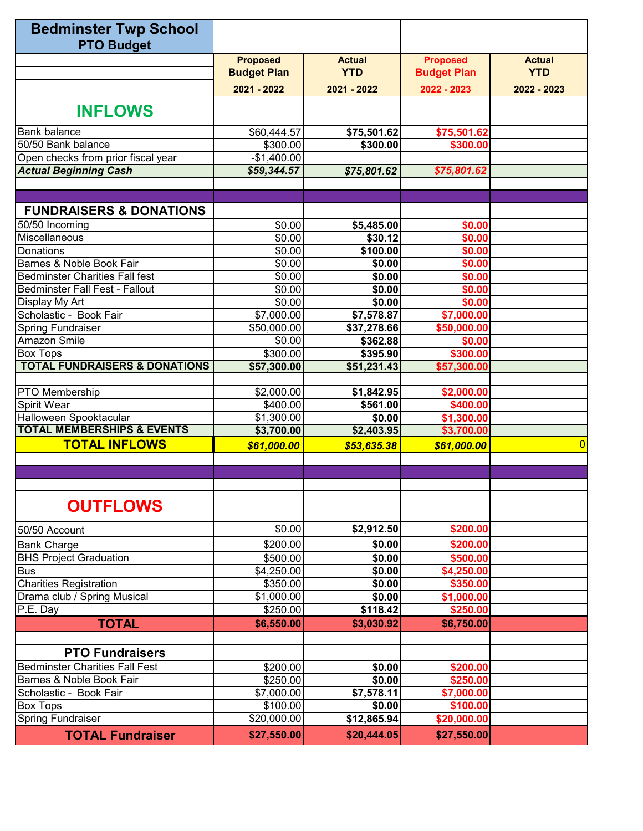| <b>Bedminster Twp School</b>             |                       |               |                    |                |
|------------------------------------------|-----------------------|---------------|--------------------|----------------|
| <b>PTO Budget</b>                        |                       |               |                    |                |
|                                          | <b>Proposed</b>       | <b>Actual</b> | <b>Proposed</b>    | <b>Actual</b>  |
|                                          | <b>Budget Plan</b>    | <b>YTD</b>    | <b>Budget Plan</b> | <b>YTD</b>     |
|                                          | 2021 - 2022           | 2021 - 2022   | 2022 - 2023        | 2022 - 2023    |
| <b>INFLOWS</b>                           |                       |               |                    |                |
| <b>Bank balance</b>                      | \$60,444.57           | \$75,501.62   | \$75,501.62        |                |
| 50/50 Bank balance                       | \$300.00              | \$300.00      | \$300.00           |                |
| Open checks from prior fiscal year       | $-$1,400.00$          |               |                    |                |
| <b>Actual Beginning Cash</b>             | \$59,344.57           | \$75,801.62   | \$75,801.62        |                |
|                                          |                       |               |                    |                |
| <b>FUNDRAISERS &amp; DONATIONS</b>       |                       |               |                    |                |
| 50/50 Incoming                           | \$0.00                | \$5,485.00    | \$0.00             |                |
| Miscellaneous                            | \$0.00                | \$30.12       | \$0.00             |                |
| Donations                                | \$0.00                | \$100.00      | \$0.00             |                |
| Barnes & Noble Book Fair                 | \$0.00                | \$0.00        | \$0.00             |                |
| <b>Bedminster Charities Fall fest</b>    | \$0.00                | \$0.00        | \$0.00             |                |
| <b>Bedminster Fall Fest - Fallout</b>    | \$0.00                | \$0.00        | \$0.00             |                |
| Display My Art                           | \$0.00                | \$0.00        | \$0.00             |                |
| Scholastic - Book Fair                   | \$7,000.00            | \$7,578.87    | \$7,000.00         |                |
| <b>Spring Fundraiser</b>                 | \$50,000.00           | \$37,278.66   | \$50,000.00        |                |
| Amazon Smile                             | \$0.00                | \$362.88      | \$0.00             |                |
| <b>Box Tops</b>                          | \$300.00              | \$395.90      | \$300.00           |                |
| <b>TOTAL FUNDRAISERS &amp; DONATIONS</b> | \$57,300.00           | \$51,231.43   | \$57,300.00        |                |
| <b>PTO</b> Membership                    | \$2,000.00            | \$1,842.95    | \$2,000.00         |                |
| <b>Spirit Wear</b>                       | \$400.00              | \$561.00      | \$400.00           |                |
| Halloween Spooktacular                   | \$1,300.00            | \$0.00        | \$1,300.00         |                |
| <b>TOTAL MEMBERSHIPS &amp; EVENTS</b>    | \$3,700.00            | \$2,403.95    | \$3,700.00         |                |
| <b>TOTAL INFLOWS</b>                     | \$61,000.00           | \$53,635.38   | \$61,000.00        | $\overline{0}$ |
|                                          |                       |               |                    |                |
|                                          |                       |               |                    |                |
| <b>OUTFLOWS</b>                          |                       |               |                    |                |
| 50/50 Account                            | \$0.00                | \$2,912.50    | \$200.00           |                |
| <b>Bank Charge</b>                       | \$200.00              | \$0.00        | \$200.00           |                |
| <b>BHS Project Graduation</b>            | \$500.00              | \$0.00        | \$500.00           |                |
| <b>Bus</b>                               | $\overline{4,}250.00$ | \$0.00        | \$4,250.00         |                |
| <b>Charities Registration</b>            | \$350.00              | \$0.00        | \$350.00           |                |
| Drama club / Spring Musical              | \$1,000.00            | \$0.00        | \$1,000.00         |                |
| P.E. Day                                 | \$250.00              | \$118.42      | \$250.00           |                |
| <b>TOTAL</b>                             | \$6,550.00            | \$3,030.92    | \$6,750.00         |                |
|                                          |                       |               |                    |                |
| <b>PTO Fundraisers</b>                   |                       |               |                    |                |
| <b>Bedminster Charities Fall Fest</b>    | \$200.00              | \$0.00        | \$200.00           |                |
| Barnes & Noble Book Fair                 | \$250.00              | \$0.00        | \$250.00           |                |
| Scholastic - Book Fair                   | \$7,000.00            | \$7,578.11    | \$7,000.00         |                |
| <b>Box Tops</b>                          | \$100.00              | \$0.00        | \$100.00           |                |
| <b>Spring Fundraiser</b>                 | \$20,000.00           | \$12,865.94   | \$20,000.00        |                |
| <b>TOTAL Fundraiser</b>                  | \$27,550.00           | \$20,444.05   | \$27,550.00        |                |